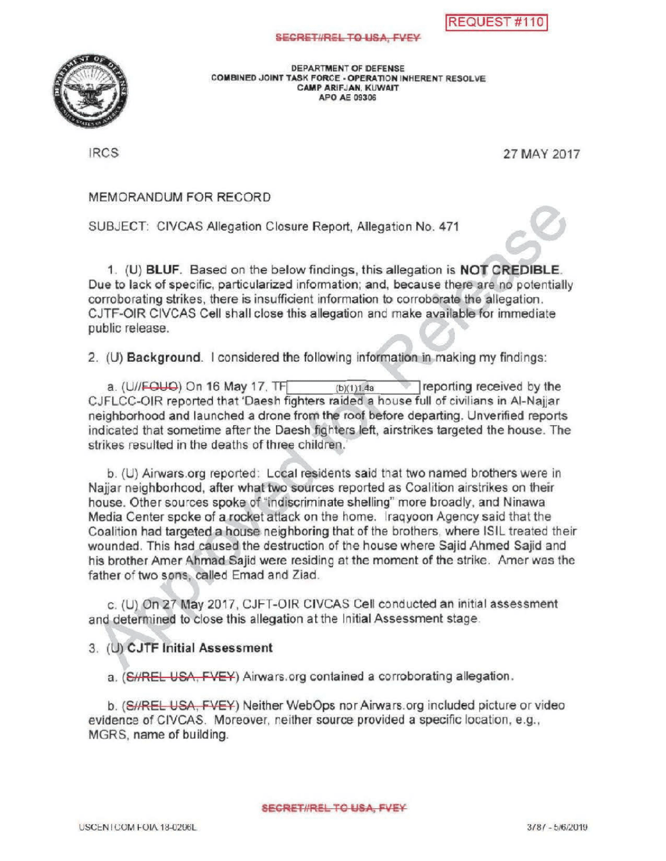## SECRETI/REL TO USA, FVEY



DEPARTMENTOF DEFENSE COMBINED JOINT TASK FORCE - OPERATION INHERENT RESOLVE CAMP ARIFJAN, KUWAIT APO AE 09306

IRCS 27 MAY 2017

MEMORANDUMFOR RECORD

SUBJECT: CIVCAS Allegation Closure Report, Allegation No. 471

BJECT: CIVCAS Allegation Closure Report, Allegation No. 471<br>1. (U) BLUF. Based on the below findings, this allegation is NOT CREDIBLE. Due to lack of specific, particularized information; and, because there are no potentially corroborating strikes, there is insufficient information to corroborate the allegation. CJTF-OIR CIVCAS Cell shall close this allegation and make available for immediate public release.

2. (U) Background. I considered the following information in making my findings:

a.  $(U/FQUQ)$  On 16 May 17, TF  $(D)(1)$  14a **reporting received by the** CJFLCC-OIR reported that 'Daesh fighters raided a house full of civilians in Al-Najjar neighborhood and launched a dronefrom the roof before departing. Unverified reports indicated that sometime after the Daesh fighters left, airstrikes targeted the house. The strikes resulted in the deaths of three children.

b. (U) Airwars.org reported: Local residents said that two named brothers were in Najjar neighborhood, after what two sources reported as Coalition airstrikes on their house. Other sources spoke of "indiscriminate shelling" more broadly, and Ninawa Media Center spoke of a rocket attack on the home. Iraqyoon Agency said that the Coalition had targeted a house neighboring that of the brothers, where ISIL treated their wounded . This had caused the destruction of the house where Sajid Ahmed Sajid and his brother Amer Ahmad Sajid were residing at the moment of the strike . Amer was the father of two sons, called Emad and Ziad.

C. (U) On 27 May 2017, CJFT-OIR CIVCAS Cell conducted an initial assessment and determined to close this allegation at the Initial Assessment stage.

## 3. (U) CJTF Initial Assessment

a. (SHREL USA, FVEY) Airwars.org contained a corroborating allegation.

b. (S//REL USA, FVEY) Neither WebOps nor Airwars.org included picture or video evidence of CIVCAS. Moreover, neither source provided a specific location, e.g., MGRS, name of building.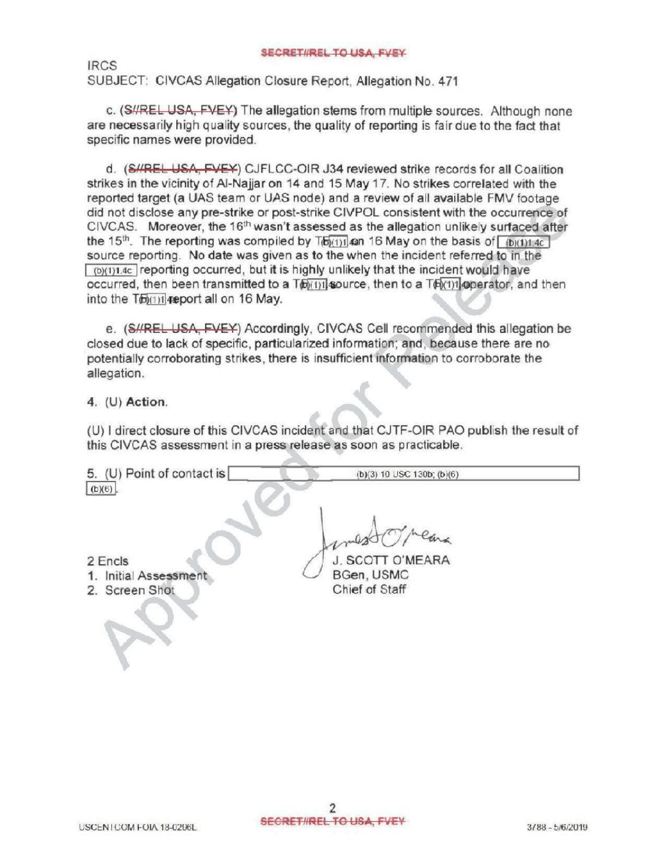## SECRETIREL TO USA, FVEY

IRCS SUBJECT: CIVCAS Allegation Closure Report, Allegation No. 471

c. (S//REL USA, FVEY) The allegation stems from multiple sources. Although none are necessarilyhigh quality sources, the quality of reporting is fair due to the fact that specific names were provided.

d. (SHREL USA, FVEY) CJFLCC-OIR J34 reviewed strike records for all Coalition strikes in the vicinity of Al-Najjar on 14 and 15 May 17. No strikes correlated with the reported target (a UAS team or UAS node) and a review of all available FMV footage did not disclose any pre -strike or post-strike CIVPOL consistent with the occurrence of CIVCAS. Moreover, the 16<sup>th</sup> wasn't assessed as the allegation unlikely surfaced after the 15<sup>th</sup>. The reporting was compiled by  $T_0$  (6)(1)1.40 and 16 May on the basis of  $\lceil (b)(1)1.4c \rceil$ source reporting. No date was given as to the when the incident referred to in the  $\sqrt{(b)(1)1.4c}$  reporting occurred, but it is highly unlikely that the incident would have occurred, then been transmitted to a  $T_0$  1  $\frac{1}{2}$  source, then to a  $T_0$  1  $\frac{1}{2}$  aperator, and then into the T6 (1)1 4 apport all on 16 May.

e. (SHREL USA, FVEY) Accordingly, CIVCAS Cell recommended this allegation be closed due to lack of specific, particularized information; and, because there are no potentially corroborating strikes, there is insufficient information to corroborate the allegation.

4. (U) Action.

( U) I direct closure of this CIVCAS incident and that CJTF -OIR PAO publish the result of this CIVCAS assessment in a press release as soon as practicable .

| 5. (U) Point of contact is |  |
|----------------------------|--|
| $(b)(6)$ .                 |  |
|                            |  |
|                            |  |
|                            |  |

2 Encis BGen, USMC Chief of Staff

 $(b)(3)$  10 USC 130b;  $(b)(6)$ 

- 1. Initial Assessment
- 2. Screen Shot